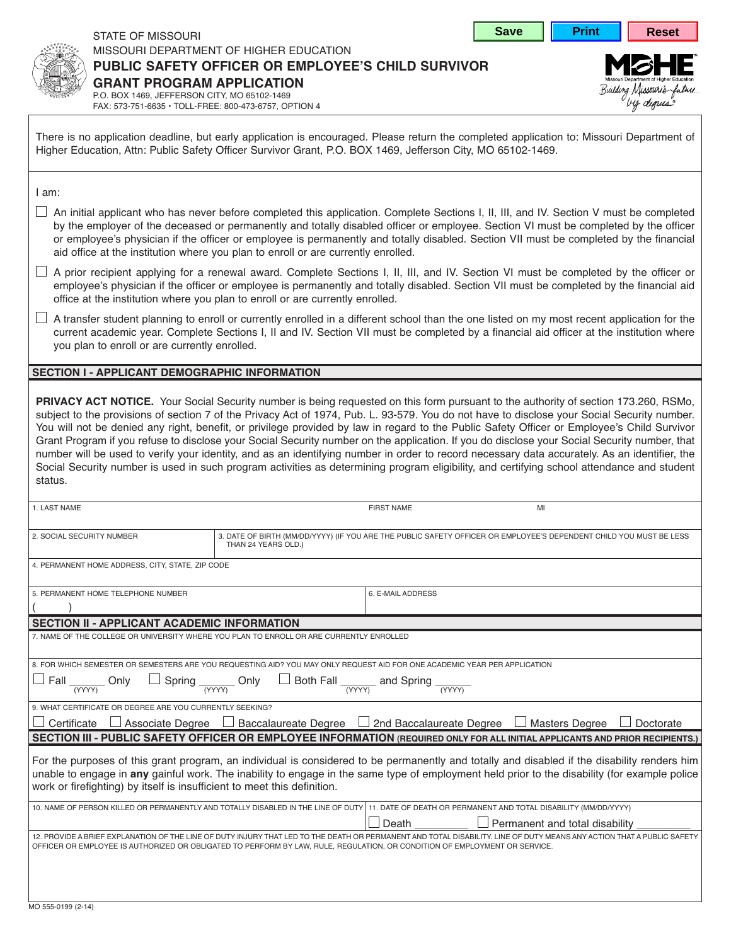| <b>Save</b> |
|-------------|
|-------------|



by depus

|--|

## STATE OF MISSOURI missouri department of higher education

**public safety officer or employee's child survivor**

**grant program application** p.o. box 1469, jefferson citY, mo 65102-1469

fax: 573-751-6635 • toll-free: 800-473-6757, option 4

There is no application deadline, but early application is encouraged. Please return the completed application to: Missouri Department of Higher Education, Attn: Public Safety Officer Survivor Grant, P.O. BOX 1469, Jefferson City, MO 65102-1469.

i am:

- $\Box$  An initial applicant who has never before completed this application. Complete Sections I, II, III, and IV. Section V must be completed by the employer of the deceased or permanently and totally disabled officer or employee. Section VI must be completed by the officer or employee's physician if the officer or employee is permanently and totally disabled. section vii must be completed by the financial aid office at the institution where you plan to enroll or are currently enrolled.
- $\Box$  A prior recipient applying for a renewal award. Complete Sections I, II, III, and IV. Section VI must be completed by the officer or employee's physician if the officer or employee is permanently and totally disabled. Section VII must be completed by the financial aid office at the institution where you plan to enroll or are currently enrolled.
- $\Box$  A transfer student planning to enroll or currently enrolled in a different school than the one listed on my most recent application for the current academic year. Complete Sections I, II and IV. Section VII must be completed by a financial aid officer at the institution where you plan to enroll or are currently enrolled.

## **section i - applicant demographic information**

**PRIVACY ACT NOTICE.** Your Social Security number is being requested on this form pursuant to the authority of section 173.260, RSMo, subject to the provisions of section 7 of the Privacy Act of 1974, Pub. L. 93-579. You do not have to disclose your Social Security number. You will not be denied any right, benefit, or privilege provided by law in regard to the Public Safety Officer or Employee's Child Survivor Grant Program if you refuse to disclose your Social Security number on the application. If you do disclose your Social Security number, that number will be used to verify your identity, and as an identifying number in order to record necessary data accurately. As an identifier, the Social Security number is used in such program activities as determining program eligibility, and certifying school attendance and student status.

| 1. LAST NAME                                                                                                                                                                                                                                                                                                                                                              |                                                                                                                                           | <b>FIRST NAME</b> | MI                             |  |  |  |  |
|---------------------------------------------------------------------------------------------------------------------------------------------------------------------------------------------------------------------------------------------------------------------------------------------------------------------------------------------------------------------------|-------------------------------------------------------------------------------------------------------------------------------------------|-------------------|--------------------------------|--|--|--|--|
|                                                                                                                                                                                                                                                                                                                                                                           |                                                                                                                                           |                   |                                |  |  |  |  |
| 2. SOCIAL SECURITY NUMBER                                                                                                                                                                                                                                                                                                                                                 | 3. DATE OF BIRTH (MM/DD/YYYY) (IF YOU ARE THE PUBLIC SAFETY OFFICER OR EMPLOYEE'S DEPENDENT CHILD YOU MUST BE LESS<br>THAN 24 YEARS OLD.) |                   |                                |  |  |  |  |
| 4. PERMANENT HOME ADDRESS, CITY, STATE, ZIP CODE                                                                                                                                                                                                                                                                                                                          |                                                                                                                                           |                   |                                |  |  |  |  |
| 5. PERMANENT HOME TELEPHONE NUMBER                                                                                                                                                                                                                                                                                                                                        |                                                                                                                                           | 6. E-MAIL ADDRESS |                                |  |  |  |  |
|                                                                                                                                                                                                                                                                                                                                                                           |                                                                                                                                           |                   |                                |  |  |  |  |
| <b>SECTION II - APPLICANT ACADEMIC INFORMATION</b>                                                                                                                                                                                                                                                                                                                        |                                                                                                                                           |                   |                                |  |  |  |  |
| 7. NAME OF THE COLLEGE OR UNIVERSITY WHERE YOU PLAN TO ENROLL OR ARE CURRENTLY ENROLLED                                                                                                                                                                                                                                                                                   |                                                                                                                                           |                   |                                |  |  |  |  |
|                                                                                                                                                                                                                                                                                                                                                                           |                                                                                                                                           |                   |                                |  |  |  |  |
| 8. FOR WHICH SEMESTER OR SEMESTERS ARE YOU REQUESTING AID? YOU MAY ONLY REQUEST AID FOR ONE ACADEMIC YEAR PER APPLICATION                                                                                                                                                                                                                                                 |                                                                                                                                           |                   |                                |  |  |  |  |
| $\Box$ Fall $\frac{1}{(YYY)}$ Only $\Box$ Spring $\frac{1}{(YYY)}$ Only $\Box$ Both Fall $\frac{1}{(YYY)}$ and Spring $\frac{1}{(YYY)}$                                                                                                                                                                                                                                   |                                                                                                                                           |                   |                                |  |  |  |  |
| 9. WHAT CERTIFICATE OR DEGREE ARE YOU CURRENTLY SEEKING?                                                                                                                                                                                                                                                                                                                  |                                                                                                                                           |                   |                                |  |  |  |  |
| $\Box$ Associate Degree $\Box$ Baccalaureate Degree $\Box$ 2nd Baccalaureate Degree $\Box$ Masters Degree<br>Certificate<br>Doctorate                                                                                                                                                                                                                                     |                                                                                                                                           |                   |                                |  |  |  |  |
| SECTION III - PUBLIC SAFETY OFFICER OR EMPLOYEE INFORMATION (REQUIRED ONLY FOR ALL INITIAL APPLICANTS AND PRIOR RECIPIENTS.)                                                                                                                                                                                                                                              |                                                                                                                                           |                   |                                |  |  |  |  |
| For the purposes of this grant program, an individual is considered to be permanently and totally and disabled if the disability renders him<br>unable to engage in any gainful work. The inability to engage in the same type of employment held prior to the disability (for example police<br>work or firefighting) by itself is insufficient to meet this definition. |                                                                                                                                           |                   |                                |  |  |  |  |
| 10. NAME OF PERSON KILLED OR PERMANENTLY AND TOTALLY DISABLED IN THE LINE OF DUTY 11. DATE OF DEATH OR PERMANENT AND TOTAL DISABILITY (MM/DD/YYYY)                                                                                                                                                                                                                        |                                                                                                                                           |                   |                                |  |  |  |  |
|                                                                                                                                                                                                                                                                                                                                                                           |                                                                                                                                           | │ Death           | Permanent and total disability |  |  |  |  |
| 12. PROVIDE A BRIEF EXPLANATION OF THE LINE OF DUTY INJURY THAT LED TO THE DEATH OR PERMANENT AND TOTAL DISABILITY. LINE OF DUTY MEANS ANY ACTION THAT A PUBLIC SAFETY<br>OFFICER OR EMPLOYEE IS AUTHORIZED OR OBLIGATED TO PERFORM BY LAW, RULE, REGULATION, OR CONDITION OF EMPLOYMENT OR SERVICE.                                                                      |                                                                                                                                           |                   |                                |  |  |  |  |
|                                                                                                                                                                                                                                                                                                                                                                           |                                                                                                                                           |                   |                                |  |  |  |  |
|                                                                                                                                                                                                                                                                                                                                                                           |                                                                                                                                           |                   |                                |  |  |  |  |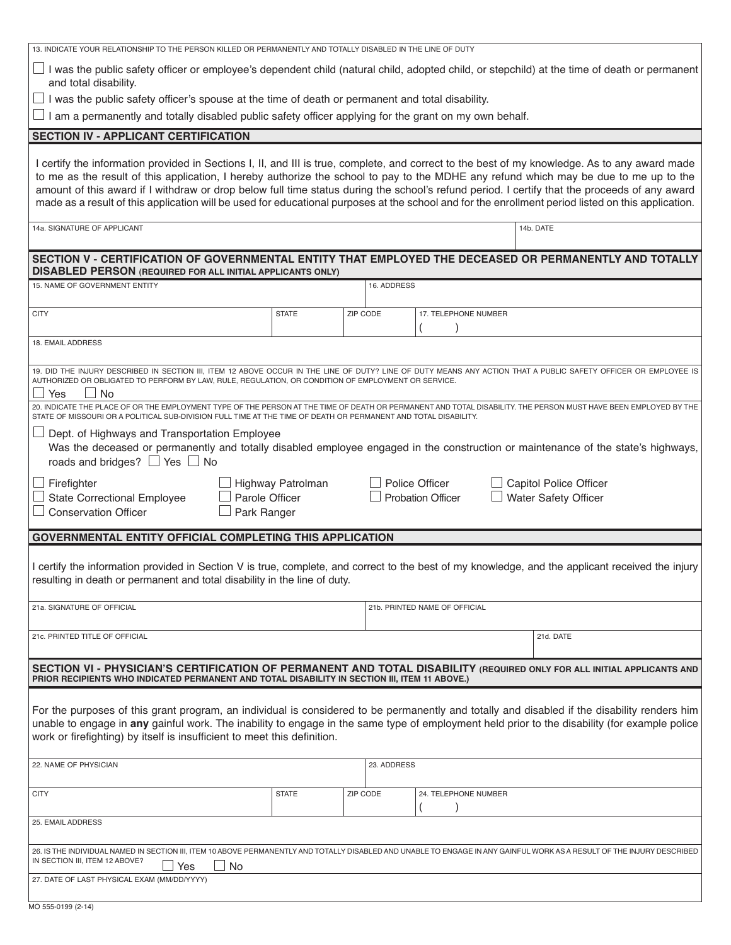|                                                                                                                                                                                                                                                                                                                                                                                                                                                                                                                                                                                                | 13. INDICATE YOUR RELATIONSHIP TO THE PERSON KILLED OR PERMANENTLY AND TOTALLY DISABLED IN THE LINE OF DUTY |          |                                            |                                                |  |  |  |
|------------------------------------------------------------------------------------------------------------------------------------------------------------------------------------------------------------------------------------------------------------------------------------------------------------------------------------------------------------------------------------------------------------------------------------------------------------------------------------------------------------------------------------------------------------------------------------------------|-------------------------------------------------------------------------------------------------------------|----------|--------------------------------------------|------------------------------------------------|--|--|--|
| I was the public safety officer or employee's dependent child (natural child, adopted child, or stepchild) at the time of death or permanent<br>and total disability.                                                                                                                                                                                                                                                                                                                                                                                                                          |                                                                                                             |          |                                            |                                                |  |  |  |
| $\perp$ I was the public safety officer's spouse at the time of death or permanent and total disability.<br>$\perp$ I am a permanently and totally disabled public safety officer applying for the grant on my own behalf.                                                                                                                                                                                                                                                                                                                                                                     |                                                                                                             |          |                                            |                                                |  |  |  |
|                                                                                                                                                                                                                                                                                                                                                                                                                                                                                                                                                                                                |                                                                                                             |          |                                            |                                                |  |  |  |
| <b>SECTION IV - APPLICANT CERTIFICATION</b>                                                                                                                                                                                                                                                                                                                                                                                                                                                                                                                                                    |                                                                                                             |          |                                            |                                                |  |  |  |
| I certify the information provided in Sections I, II, and III is true, complete, and correct to the best of my knowledge. As to any award made<br>to me as the result of this application, I hereby authorize the school to pay to the MDHE any refund which may be due to me up to the<br>amount of this award if I withdraw or drop below full time status during the school's refund period. I certify that the proceeds of any award<br>made as a result of this application will be used for educational purposes at the school and for the enrollment period listed on this application. |                                                                                                             |          |                                            |                                                |  |  |  |
| 14a. SIGNATURE OF APPLICANT                                                                                                                                                                                                                                                                                                                                                                                                                                                                                                                                                                    |                                                                                                             |          |                                            | 14b. DATE                                      |  |  |  |
| SECTION V - CERTIFICATION OF GOVERNMENTAL ENTITY THAT EMPLOYED THE DECEASED OR PERMANENTLY AND TOTALLY<br><b>DISABLED PERSON (REQUIRED FOR ALL INITIAL APPLICANTS ONLY)</b>                                                                                                                                                                                                                                                                                                                                                                                                                    |                                                                                                             |          |                                            |                                                |  |  |  |
| 15. NAME OF GOVERNMENT ENTITY                                                                                                                                                                                                                                                                                                                                                                                                                                                                                                                                                                  |                                                                                                             |          | 16. ADDRESS                                |                                                |  |  |  |
| <b>CITY</b>                                                                                                                                                                                                                                                                                                                                                                                                                                                                                                                                                                                    | <b>STATE</b>                                                                                                | ZIP CODE | 17. TELEPHONE NUMBER                       |                                                |  |  |  |
| 18. EMAIL ADDRESS                                                                                                                                                                                                                                                                                                                                                                                                                                                                                                                                                                              |                                                                                                             |          |                                            |                                                |  |  |  |
| 19. DID THE INJURY DESCRIBED IN SECTION III, ITEM 12 ABOVE OCCUR IN THE LINE OF DUTY? LINE OF DUTY MEANS ANY ACTION THAT A PUBLIC SAFETY OFFICER OR EMPLOYEE IS<br>AUTHORIZED OR OBLIGATED TO PERFORM BY LAW, RULE, REGULATION, OR CONDITION OF EMPLOYMENT OR SERVICE.<br><b>No</b><br>Yes                                                                                                                                                                                                                                                                                                     |                                                                                                             |          |                                            |                                                |  |  |  |
| 20. INDICATE THE PLACE OF OR THE EMPLOYMENT TYPE OF THE PERSON AT THE TIME OF DEATH OR PERMANENT AND TOTAL DISABILITY. THE PERSON MUST HAVE BEEN EMPLOYED BY THE<br>STATE OF MISSOURI OR A POLITICAL SUB-DIVISION FULL TIME AT THE TIME OF DEATH OR PERMANENT AND TOTAL DISABILITY.<br>Dept. of Highways and Transportation Employee<br>Was the deceased or permanently and totally disabled employee engaged in the construction or maintenance of the state's highways,<br>roads and bridges? $\Box$ Yes $\Box$ No                                                                           |                                                                                                             |          |                                            |                                                |  |  |  |
| Firefighter<br><b>State Correctional Employee</b><br><b>Conservation Officer</b><br>Park Ranger                                                                                                                                                                                                                                                                                                                                                                                                                                                                                                | Highway Patrolman<br>Parole Officer                                                                         |          | Police Officer<br><b>Probation Officer</b> | Capitol Police Officer<br>Water Safety Officer |  |  |  |
| <b>GOVERNMENTAL ENTITY OFFICIAL COMPLETING THIS APPLICATION</b>                                                                                                                                                                                                                                                                                                                                                                                                                                                                                                                                |                                                                                                             |          |                                            |                                                |  |  |  |
| I certify the information provided in Section V is true, complete, and correct to the best of my knowledge, and the applicant received the injury<br>resulting in death or permanent and total disability in the line of duty.                                                                                                                                                                                                                                                                                                                                                                 |                                                                                                             |          |                                            |                                                |  |  |  |
|                                                                                                                                                                                                                                                                                                                                                                                                                                                                                                                                                                                                |                                                                                                             |          |                                            |                                                |  |  |  |
| 21a. SIGNATURE OF OFFICIAL                                                                                                                                                                                                                                                                                                                                                                                                                                                                                                                                                                     |                                                                                                             |          | 21b. PRINTED NAME OF OFFICIAL              |                                                |  |  |  |
| 21c. PRINTED TITLE OF OFFICIAL                                                                                                                                                                                                                                                                                                                                                                                                                                                                                                                                                                 |                                                                                                             |          |                                            | 21d. DATE                                      |  |  |  |
| SECTION VI - PHYSICIAN'S CERTIFICATION OF PERMANENT AND TOTAL DISABILITY (REQUIRED ONLY FOR ALL INITIAL APPLICANTS AND<br>PRIOR RECIPIENTS WHO INDICATED PERMANENT AND TOTAL DISABILITY IN SECTION III, ITEM 11 ABOVE.)                                                                                                                                                                                                                                                                                                                                                                        |                                                                                                             |          |                                            |                                                |  |  |  |
| For the purposes of this grant program, an individual is considered to be permanently and totally and disabled if the disability renders him<br>unable to engage in any gainful work. The inability to engage in the same type of employment held prior to the disability (for example police<br>work or firefighting) by itself is insufficient to meet this definition.                                                                                                                                                                                                                      |                                                                                                             |          |                                            |                                                |  |  |  |
| 22. NAME OF PHYSICIAN                                                                                                                                                                                                                                                                                                                                                                                                                                                                                                                                                                          |                                                                                                             |          | 23. ADDRESS                                |                                                |  |  |  |
| <b>CITY</b>                                                                                                                                                                                                                                                                                                                                                                                                                                                                                                                                                                                    | <b>STATE</b>                                                                                                | ZIP CODE | 24. TELEPHONE NUMBER                       |                                                |  |  |  |
| 25. EMAIL ADDRESS                                                                                                                                                                                                                                                                                                                                                                                                                                                                                                                                                                              |                                                                                                             |          |                                            |                                                |  |  |  |
| 26. IS THE INDIVIDUAL NAMED IN SECTION III, ITEM 10 ABOVE PERMANENTLY AND TOTALLY DISABLED AND UNABLE TO ENGAGE IN ANY GAINFUL WORK AS A RESULT OF THE INJURY DESCRIBED<br>IN SECTION III, ITEM 12 ABOVE?                                                                                                                                                                                                                                                                                                                                                                                      |                                                                                                             |          |                                            |                                                |  |  |  |
| No<br>Yes<br>27. DATE OF LAST PHYSICAL EXAM (MM/DD/YYYY)                                                                                                                                                                                                                                                                                                                                                                                                                                                                                                                                       |                                                                                                             |          |                                            |                                                |  |  |  |